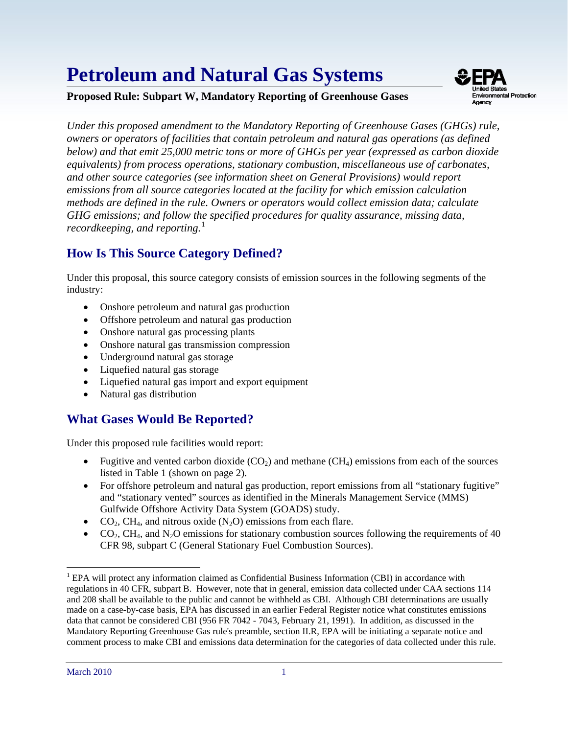# **Petroleum and Natural Gas Systems**





*Under this proposed amendment to the Mandatory Reporting of Greenhouse Gases (GHGs) rule, owners or operators of facilities that contain petroleum and natural gas operations (as defined below) and that emit 25,000 metric tons or more of GHGs per year (expressed as carbon dioxide equivalents) from process operations, stationary combustion, miscellaneous use of carbonates, and other source categories (see information sheet on General Provisions) would report emissions from all source categories located at the facility for which emission calculation methods are defined in the rule. Owners or operators would collect emission data; calculate GHG emissions; and follow the specified procedures for quality assurance, missing data, recordkeeping, and reporting.*<sup>1</sup>

# **How Is This Source Category Defined?**

 industry: Under this proposal, this source category consists of emission sources in the following segments of the

- Onshore petroleum and natural gas production
- Offshore petroleum and natural gas production
- Onshore natural gas processing plants
- Onshore natural gas transmission compression
- Underground natural gas storage
- Liquefied natural gas storage
- Liquefied natural gas import and export equipment
- Natural gas distribution

# **What Gases Would Be Reported?**

Under this proposed rule facilities would report:

- Fugitive and vented carbon dioxide  $(CO_2)$  and methane  $(CH_4)$  emissions from each of the sources listed in Table 1 (shown on page 2).
- For offshore petroleum and natural gas production, report emissions from all "stationary fugitive" and "stationary vented" sources as identified in the Minerals Management Service (MMS) Gulfwide Offshore Activity Data System (GOADS) study.
- $CO<sub>2</sub>$ , CH<sub>4</sub>, and nitrous oxide (N<sub>2</sub>O) emissions from each flare.
- $CO<sub>2</sub>, CH<sub>4</sub>, and N<sub>2</sub>O emissions for stationary combustion sources following the requirements of 40$ CFR 98, subpart C (General Stationary Fuel Combustion Sources).

 $\overline{a}$ 

<span id="page-0-0"></span> and 208 shall be available to the public and cannot be withheld as CBI. Although CBI determinations are usually data that cannot be considered CBI (956 FR 7042 - 7043, February 21, 1991). In addition, as discussed in the <sup>1</sup> EPA will protect any information claimed as Confidential Business Information (CBI) in accordance with regulations in 40 CFR, subpart B. However, note that in general, emission data collected under CAA sections 114 made on a case-by-case basis, EPA has discussed in an earlier Federal Register notice what constitutes emissions Mandatory Reporting Greenhouse Gas rule's preamble, section II.R, EPA will be initiating a separate notice and comment process to make CBI and emissions data determination for the categories of data collected under this rule.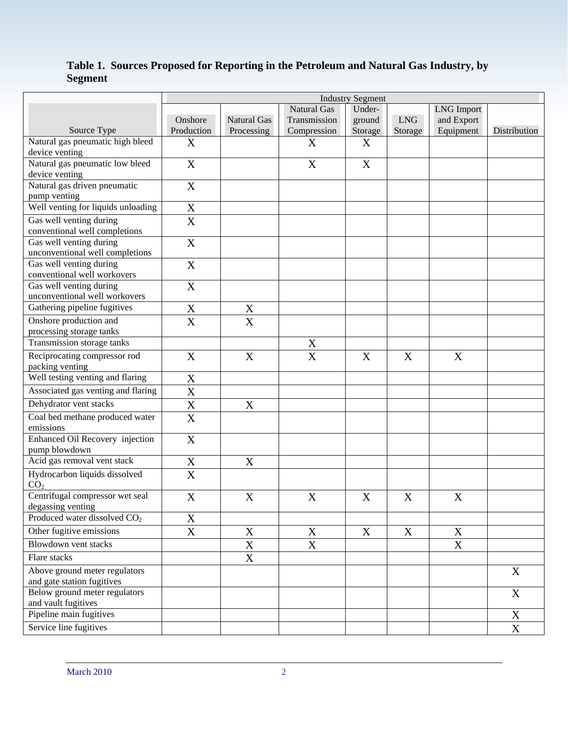#### **Table 1. Sources Proposed for Reporting in the Petroleum and Natural Gas Industry, by Segment**

|                                                             | <b>Industry Segment</b>   |                           |                           |                           |            |                           |              |  |  |
|-------------------------------------------------------------|---------------------------|---------------------------|---------------------------|---------------------------|------------|---------------------------|--------------|--|--|
|                                                             |                           |                           | <b>Natural Gas</b>        | Under-                    |            | <b>LNG</b> Import         |              |  |  |
|                                                             | Onshore                   | <b>Natural Gas</b>        | Transmission              | ground                    | <b>LNG</b> | and Export                |              |  |  |
| Source Type                                                 | Production                | Processing                | Compression               | Storage                   | Storage    | Equipment                 | Distribution |  |  |
| Natural gas pneumatic high bleed                            | X                         |                           | X                         | X                         |            |                           |              |  |  |
| device venting                                              |                           |                           |                           |                           |            |                           |              |  |  |
| Natural gas pneumatic low bleed<br>device venting           | $\boldsymbol{\mathrm{X}}$ |                           | $\boldsymbol{\mathrm{X}}$ | $\mathbf X$               |            |                           |              |  |  |
| Natural gas driven pneumatic                                | $\mathbf X$               |                           |                           |                           |            |                           |              |  |  |
| pump venting                                                |                           |                           |                           |                           |            |                           |              |  |  |
| Well venting for liquids unloading                          | X                         |                           |                           |                           |            |                           |              |  |  |
| Gas well venting during<br>conventional well completions    | $\overline{\text{X}}$     |                           |                           |                           |            |                           |              |  |  |
| Gas well venting during<br>unconventional well completions  | X                         |                           |                           |                           |            |                           |              |  |  |
| Gas well venting during<br>conventional well workovers      | X                         |                           |                           |                           |            |                           |              |  |  |
| Gas well venting during<br>unconventional well workovers    | X                         |                           |                           |                           |            |                           |              |  |  |
| Gathering pipeline fugitives                                | X                         | $\mathbf X$               |                           |                           |            |                           |              |  |  |
| Onshore production and<br>processing storage tanks          | $\overline{\text{X}}$     | $\overline{X}$            |                           |                           |            |                           |              |  |  |
| Transmission storage tanks                                  |                           |                           | $\mathbf X$               |                           |            |                           |              |  |  |
| Reciprocating compressor rod<br>packing venting             | X                         | X                         | X                         | $\boldsymbol{\mathrm{X}}$ | X          | X                         |              |  |  |
| Well testing venting and flaring                            | X                         |                           |                           |                           |            |                           |              |  |  |
| Associated gas venting and flaring                          | X                         |                           |                           |                           |            |                           |              |  |  |
| Dehydrator vent stacks                                      | $\boldsymbol{\mathrm{X}}$ | X                         |                           |                           |            |                           |              |  |  |
| Coal bed methane produced water<br>emissions                | X                         |                           |                           |                           |            |                           |              |  |  |
| Enhanced Oil Recovery injection<br>pump blowdown            | X                         |                           |                           |                           |            |                           |              |  |  |
| Acid gas removal vent stack                                 | X                         | $\boldsymbol{\mathrm{X}}$ |                           |                           |            |                           |              |  |  |
| Hydrocarbon liquids dissolved<br>CO <sub>2</sub>            | X                         |                           |                           |                           |            |                           |              |  |  |
| Centrifugal compressor wet seal<br>degassing venting        | $\boldsymbol{\mathrm{X}}$ | X                         | $\boldsymbol{\mathrm{X}}$ | $\boldsymbol{\mathrm{X}}$ | X          | $\boldsymbol{\mathrm{X}}$ |              |  |  |
| Produced water dissolved CO <sub>2</sub>                    | $\boldsymbol{\mathrm{X}}$ |                           |                           |                           |            |                           |              |  |  |
| Other fugitive emissions                                    | X                         | $\mathbf X$               | X                         | X                         | X          | X                         |              |  |  |
| <b>Blowdown vent stacks</b>                                 |                           | $\mathbf X$               | X                         |                           |            | $\mathbf X$               |              |  |  |
| Flare stacks                                                |                           | $\mathbf X$               |                           |                           |            |                           |              |  |  |
| Above ground meter regulators<br>and gate station fugitives |                           |                           |                           |                           |            |                           | X            |  |  |
| Below ground meter regulators<br>and vault fugitives        |                           |                           |                           |                           |            |                           | $\mathbf X$  |  |  |
| Pipeline main fugitives                                     |                           |                           |                           |                           |            |                           | $\mathbf X$  |  |  |
| Service line fugitives                                      |                           |                           |                           |                           |            |                           | $\mathbf X$  |  |  |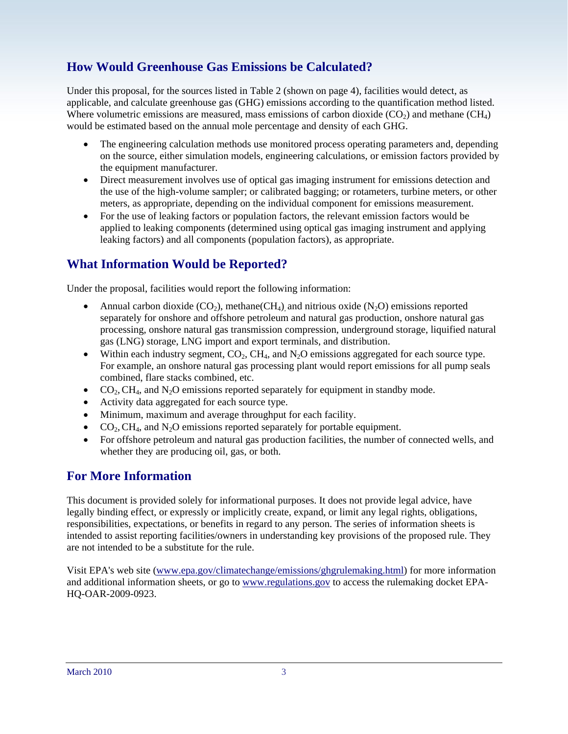## **How Would Greenhouse Gas Emissions be Calculated?**

Under this proposal, for the sources listed in Table 2 (shown on page 4), facilities would detect, as applicable, and calculate greenhouse gas (GHG) emissions according to the quantification method listed. Where volumetric emissions are measured, mass emissions of carbon dioxide ( $CO<sub>2</sub>$ ) and methane ( $CH<sub>4</sub>$ ) would be estimated based on the annual mole percentage and density of each GHG.

- The engineering calculation methods use monitored process operating parameters and, depending on the source, either simulation models, engineering calculations, or emission factors provided by the equipment manufacturer.
- Direct measurement involves use of optical gas imaging instrument for emissions detection and the use of the high-volume sampler; or calibrated bagging; or rotameters, turbine meters, or other meters, as appropriate, depending on the individual component for emissions measurement.
- For the use of leaking factors or population factors, the relevant emission factors would be applied to leaking components (determined using optical gas imaging instrument and applying leaking factors) and all components (population factors), as appropriate.

## **What Information Would be Reported?**

Under the proposal, facilities would report the following information:

- Annual carbon dioxide  $(CO_2)$ , methane $(CH_4)$ , and nitrious oxide  $(N_2O)$  emissions reported separately for onshore and offshore petroleum and natural gas production, onshore natural gas processing, onshore natural gas transmission compression, underground storage, liquified natural gas (LNG) storage, LNG import and export terminals, and distribution.
- Within each industry segment,  $CO<sub>2</sub>$ ,  $CH<sub>4</sub>$ , and  $N<sub>2</sub>O$  emissions aggregated for each source type. For example, an onshore natural gas processing plant would report emissions for all pump seals combined, flare stacks combined, etc.
- $CO<sub>2</sub>, CH<sub>4</sub>, and N<sub>2</sub>O emissions reported separately for equipment in standby mode.$
- Activity data aggregated for each source type.
- Minimum, maximum and average throughput for each facility.
- $CO<sub>2</sub>, CH<sub>4</sub>, and N<sub>2</sub>O emissions reported separately for portable equipment.$
- For offshore petroleum and natural gas production facilities, the number of connected wells, and whether they are producing oil, gas, or both.

## **For More Information**

This document is provided solely for informational purposes. It does not provide legal advice, have legally binding effect, or expressly or implicitly create, expand, or limit any legal rights, obligations, responsibilities, expectations, or benefits in regard to any person. The series of information sheets is intended to assist reporting facilities/owners in understanding key provisions of the proposed rule. They are not intended to be a substitute for the rule.

Visit EPA's web site ([www.epa.gov/climatechange/emissions/ghgrulemaking.html](http://www.epa.gov/climatechange/emissions/ghgrulemaking.html)) for more information and additional information sheets, or go to [www.regulations.gov](http://www.regulations.gov/) to access the rulemaking docket EPA-HQ-OAR-2009-0923.